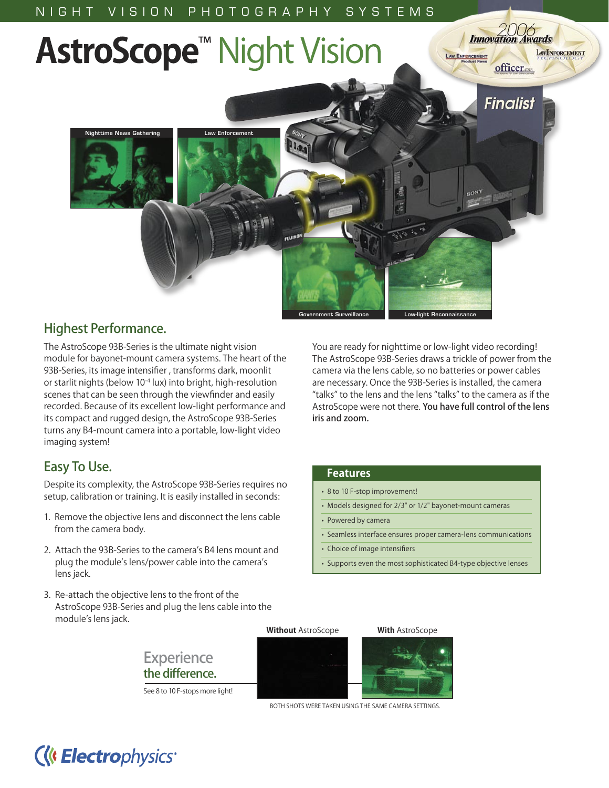

### Highest Performance.

The AstroScope 93B-Series is the ultimate night vision module for bayonet-mount camera systems. The heart of the 93B-Series, its image intensifier , transforms dark, moonlit or starlit nights (below 10-4 lux) into bright, high-resolution scenes that can be seen through the viewfinder and easily recorded. Because of its excellent low-light performance and its compact and rugged design, the AstroScope 93B-Series turns any B4-mount camera into a portable, low-light video imaging system!

### Easy To Use.

Despite its complexity, the AstroScope 93B-Series requires no setup, calibration or training. It is easily installed in seconds:

- 1. Remove the objective lens and disconnect the lens cable from the camera body.
- 2. Attach the 93B-Series to the camera's B4 lens mount and plug the module's lens/power cable into the camera's lens jack.
- 3. Re-attach the objective lens to the front of the AstroScope 93B-Series and plug the lens cable into the module's lens jack.

**Experience** the difference.

See 8 to 10 F-stops more light!

You are ready for nighttime or low-light video recording! The AstroScope 93B-Series draws a trickle of power from the camera via the lens cable, so no batteries or power cables are necessary. Once the 93B-Series is installed, the camera "talks" to the lens and the lens "talks" to the camera as if the AstroScope were not there. You have full control of the lens iris and zoom.

### **Features**

- 8 to 10 F-stop improvement!
- Models designed for 2/3" or 1/2" bayonet-mount cameras
- Powered by camera
- Seamless interface ensures proper camera-lens communications
- Choice of image intensifiers
- Supports even the most sophisticated B4-type objective lenses

### **Without** AstroScope **With** AstroScope



BOTH SHOTS WERE TAKEN USING THE SAME CAMERA SETTINGS.

## **(K Electrophysics**\*